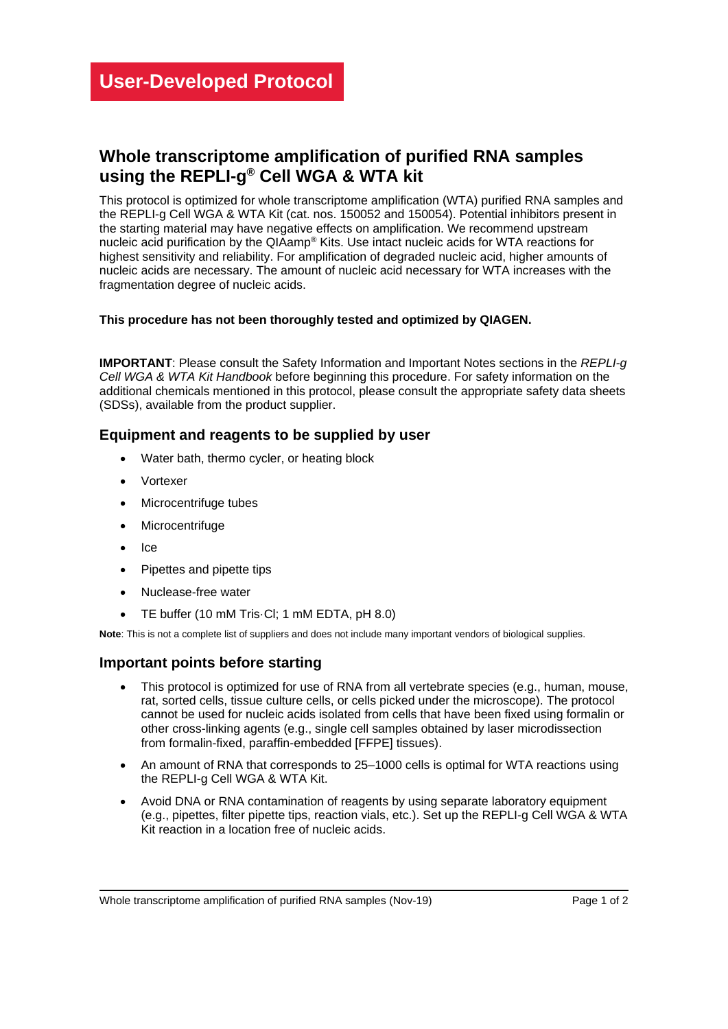# **Whole transcriptome amplification of purified RNA samples using the REPLI-g ® Cell WGA & WTA kit**

This protocol is optimized for whole transcriptome amplification (WTA) purified RNA samples and the REPLI-g Cell WGA & WTA Kit (cat. nos. 150052 and 150054). Potential inhibitors present in the starting material may have negative effects on amplification. We recommend upstream nucleic acid purification by the QIAamp® Kits. Use intact nucleic acids for WTA reactions for highest sensitivity and reliability. For amplification of degraded nucleic acid, higher amounts of nucleic acids are necessary. The amount of nucleic acid necessary for WTA increases with the fragmentation degree of nucleic acids.

#### **This procedure has not been thoroughly tested and optimized by QIAGEN.**

**IMPORTANT**: Please consult the Safety Information and Important Notes sections in the *REPLI-g Cell WGA & WTA Kit Handbook* before beginning this procedure. For safety information on the additional chemicals mentioned in this protocol, please consult the appropriate safety data sheets (SDSs), available from the product supplier.

# **Equipment and reagents to be supplied by user**

- Water bath, thermo cycler, or heating block
- **Vortexer**
- Microcentrifuge tubes
- **Microcentrifuge**
- Ice
- Pipettes and pipette tips
- Nuclease-free water
- TE buffer (10 mM Tris·Cl; 1 mM EDTA, pH 8.0)

**Note**: This is not a complete list of suppliers and does not include many important vendors of biological supplies.

#### **Important points before starting**

- This protocol is optimized for use of RNA from all vertebrate species (e.g., human, mouse, rat, sorted cells, tissue culture cells, or cells picked under the microscope). The protocol cannot be used for nucleic acids isolated from cells that have been fixed using formalin or other cross-linking agents (e.g., single cell samples obtained by laser microdissection from formalin-fixed, paraffin-embedded [FFPE] tissues).
- An amount of RNA that corresponds to 25–1000 cells is optimal for WTA reactions using the REPLI-g Cell WGA & WTA Kit.
- Avoid DNA or RNA contamination of reagents by using separate laboratory equipment (e.g., pipettes, filter pipette tips, reaction vials, etc.). Set up the REPLI-g Cell WGA & WTA Kit reaction in a location free of nucleic acids.

Whole transcriptome amplification of purified RNA samples (Nov-19) Page 1 of 2